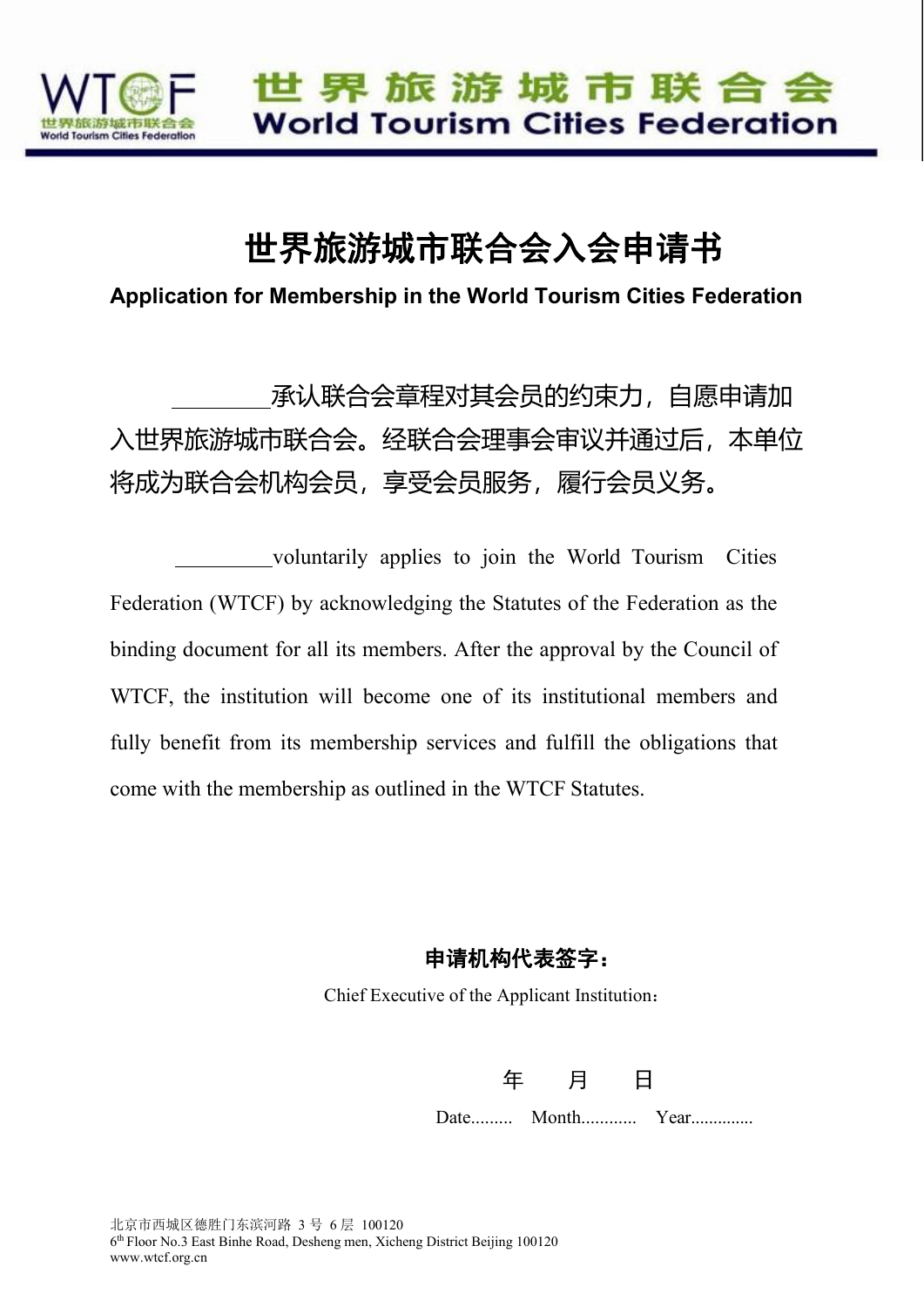

## 世界旅游城市联合会入会申请书

**Application for Membership in the World Tourism Cities Federation**

承认联合会章程对其会员的约束力,自愿申请加 入世界旅游城市联合会。经联合会理事会审议并通过后,本单位 将成为联合会机构会员,享受会员服务,履行会员义务。

voluntarily applies to join the World Tourism Cities Federation (WTCF) by acknowledging the Statutes of the Federation as the binding document for all its members. After the approval by the Council of WTCF, the institution will become one of its institutional members and fully benefit from its membership services and fulfill the obligations that come with the membership as outlined in the WTCF Statutes.

申请机构代表签字:

Chief Executive of the Applicant Institution:

| 工 |                 |  |
|---|-----------------|--|
|   | Date Month Year |  |